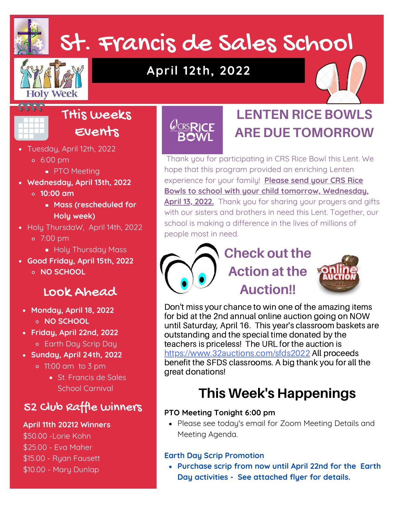## St. Francis de Sales School

# **Holy Week**

## **April 12th, 2022**





#### THis weeks Events

- Tuesday, April 12th, 2022 6:00 pm
	- **PTO Meeting**
- **Wednesday, April 13th, 2022**
	- **10:00 am**
		- **Mass (rescheduled for Holy week)**
- Holy ThursdaW, April 14th, 2022 7:00 pm
	- **Holy Thursday Mass**
- **Good Friday, April 15th, 2022 NO SCHOOL**

## Look Ahead

- **Monday, April 18, 2022 NO SCHOOL**
- **Friday, April 22nd, 2022** Earth Day Scrip Day
- **Sunday, April 24th, 2022**
	- 11:00 am to 3 pm
		- St. Francis de Sales School Carnival

## 52 Club Raffle winners

#### **April 11th 20212 Winners**

\$50.00 -Lorie Kohn \$25.00 - Eva Maher \$15.00 - Ryan Fausett \$10.00 - Mary Dunlap

## $\mathcal{C}_{CRS}$ RICE **BOWL**

## **LENTEN RICE BOWLS ARE DUE TOMORROW**

Thank you for participating in CRS Rice Bowl this Lent. We hope that this program provided an enriching Lenten experience for your family! **Please send your CRS Rice Bowls to school with your child tomorrow, Wednesday, April 13, 2022.** Thank you for sharing your prayers and gifts with our sisters and brothers in need this Lent. Together, our school is making a difference in the lives of millions of people most in need.

## **Check out the Action at the Auction!!**



Don't miss your chance to win one of the amazing items for bid at the 2nd annual online auction going on NOW until Saturday, April 16. This year's classroom baskets are outstanding and the special time donated by the teachers is priceless! The URL for the auction is <https://www.32auctions.com/sfds2022> All proceeds benefit the SFDS classrooms. A big thank you for all the great donations!

## **This Week's Happenings**

#### **PTO Meeting Tonight 6:00 pm**

• Please see today's email for Zoom Meeting Details and Meeting Agenda.

#### **Earth Day Scrip Promotion**

**Purchase scrip from now until April 22nd for the Earth Day activities - See attached flyer for details.**